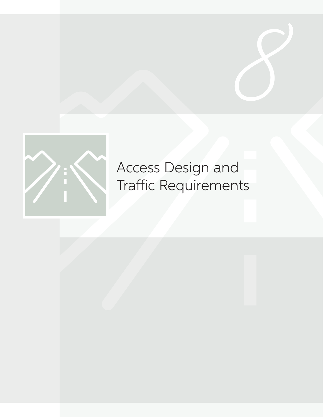

# Access Design and Traffic Requirements

**8**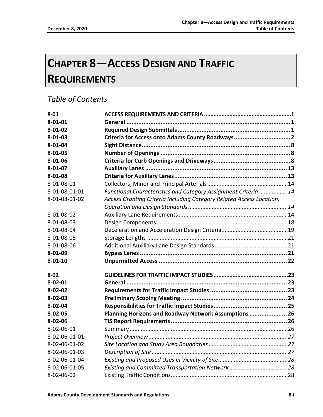# **CHAPTER 8—ACCESS DESIGN AND TRAFFIC REQUIREMENTS**

### *Table of Contents*

| $8 - 01$      |                                                                      |  |
|---------------|----------------------------------------------------------------------|--|
| $8 - 01 - 01$ |                                                                      |  |
| $8 - 01 - 02$ |                                                                      |  |
| $8 - 01 - 03$ | Criteria for Access onto Adams County Roadways 2                     |  |
| $8 - 01 - 04$ |                                                                      |  |
| $8 - 01 - 05$ |                                                                      |  |
| $8 - 01 - 06$ |                                                                      |  |
| $8 - 01 - 07$ |                                                                      |  |
| $8 - 01 - 08$ |                                                                      |  |
| 8-01-08-01    |                                                                      |  |
| 8-01-08-01-01 | Functional Characteristics and Category Assignment Criteria  14      |  |
| 8-01-08-01-02 | Access Granting Criteria Including Category Related Access Location, |  |
|               |                                                                      |  |
| 8-01-08-02    |                                                                      |  |
| 8-01-08-03    |                                                                      |  |
| 8-01-08-04    |                                                                      |  |
| 8-01-08-05    |                                                                      |  |
| 8-01-08-06    |                                                                      |  |
| 8-01-09       |                                                                      |  |
| $8 - 01 - 10$ |                                                                      |  |
| $8 - 02$      |                                                                      |  |
| $8 - 02 - 01$ |                                                                      |  |
| $8 - 02 - 02$ |                                                                      |  |
| $8 - 02 - 03$ |                                                                      |  |
| $8 - 02 - 04$ |                                                                      |  |
| $8 - 02 - 05$ | Planning Horizons and Roadway Network Assumptions  26                |  |
| $8 - 02 - 06$ |                                                                      |  |
| 8-02-06-01    |                                                                      |  |
| 8-02-06-01-01 |                                                                      |  |
| 8-02-06-01-02 |                                                                      |  |
| 8-02-06-01-03 |                                                                      |  |
| 8-02-06-01-04 |                                                                      |  |
| 8-02-06-01-05 |                                                                      |  |
| 8-02-06-02    |                                                                      |  |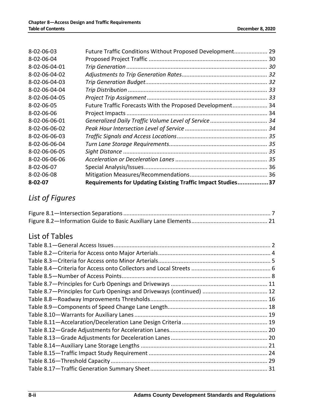| 8-02-06-03    | Future Traffic Conditions Without Proposed Development 29    |  |
|---------------|--------------------------------------------------------------|--|
| 8-02-06-04    |                                                              |  |
| 8-02-06-04-01 |                                                              |  |
| 8-02-06-04-02 |                                                              |  |
| 8-02-06-04-03 |                                                              |  |
| 8-02-06-04-04 |                                                              |  |
| 8-02-06-04-05 |                                                              |  |
| 8-02-06-05    | Future Traffic Forecasts With the Proposed Development 34    |  |
| 8-02-06-06    |                                                              |  |
| 8-02-06-06-01 |                                                              |  |
| 8-02-06-06-02 |                                                              |  |
| 8-02-06-06-03 |                                                              |  |
| 8-02-06-06-04 |                                                              |  |
| 8-02-06-06-05 |                                                              |  |
| 8-02-06-06-06 |                                                              |  |
| 8-02-06-07    |                                                              |  |
| 8-02-06-08    |                                                              |  |
| 8-02-07       | Requirements for Updating Existing Traffic Impact Studies 37 |  |

# *List of Figures*

## List of Tables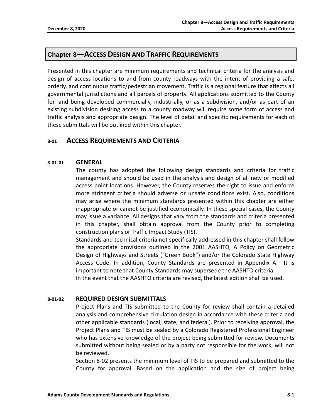#### **Chapter 8—ACCESS DESIGN AND TRAFFIC REQUIREMENTS**

Presented in this chapter are minimum requirements and technical criteria for the analysis and design of access locations to and from county roadways with the intent of providing a safe, orderly, and continuous traffic/pedestrian movement. Traffic is a regional feature that affects all governmental jurisdictions and all parcels of property. All applications submitted to the County for land being developed commercially, industrially, or as a subdivision, and/or as part of an existing subdivision desiring access to a county roadway will require some form of access and traffic analysis and appropriate design. The level of detail and specific requirements for each of these submittals will be outlined within this chapter.

#### **8-01 ACCESS REQUIREMENTS AND CRITERIA**

#### **8-01-01 GENERAL**

The county has adopted the following design standards and criteria for traffic management and should be used in the analysis and design of all new or modified access point locations. However, the County reserves the right to issue and enforce more stringent criteria should adverse or unsafe conditions exist. Also, conditions may arise where the minimum standards presented within this chapter are either inappropriate or cannot be justified economically. In these special cases, the County may issue a variance. All designs that vary from the standards and criteria presented in this chapter, shall obtain approval from the County prior to completing construction plans or Traffic Impact Study (TIS).

Standards and technical criteria not specifically addressed in this chapter shall follow the appropriate provisions outlined in the 2001 AASHTO, A Policy on Geometric Design of Highways and Streets ("Green Book") and/or the Colorado State Highway Access Code. In addition, County Standards are presented in Appendix A. It is important to note that County Standards may supersede the AASHTO criteria. In the event that the AASHTO criteria are revised, the latest edition shall be used.

**8-01-02 REQUIRED DESIGN SUBMITTALS**

Project Plans and TIS submitted to the County for review shall contain a detailed analysis and comprehensive circulation design in accordance with these criteria and other applicable standards (local, state, and federal). Prior to receiving approval, the Project Plans and TIS must be sealed by a Colorado Registered Professional Engineer who has extensive knowledge of the project being submitted for review. Documents submitted without being sealed or by a party not responsible for the work, will not be reviewed.

Section 8-02 presents the minimum level of TIS to be prepared and submitted to the County for approval. Based on the application and the size of project being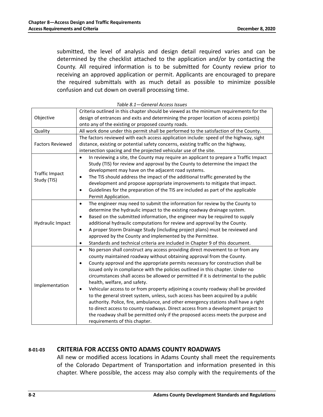submitted, the level of analysis and design detail required varies and can be determined by the checklist attached to the application and/or by contacting the County. All required information is to be submitted for County review prior to receiving an approved application or permit. Applicants are encouraged to prepare the required submittals with as much detail as possible to minimize possible confusion and cut down on overall processing time.

| Objective                            | Criteria outlined in this chapter should be viewed as the minimum requirements for the<br>design of entrances and exits and determining the proper location of access point(s)                                                                                                                                                                                                                                                                                                                                                                                                                                                                                                                                                                                                                                                                                                                                                                              |  |  |  |  |
|--------------------------------------|-------------------------------------------------------------------------------------------------------------------------------------------------------------------------------------------------------------------------------------------------------------------------------------------------------------------------------------------------------------------------------------------------------------------------------------------------------------------------------------------------------------------------------------------------------------------------------------------------------------------------------------------------------------------------------------------------------------------------------------------------------------------------------------------------------------------------------------------------------------------------------------------------------------------------------------------------------------|--|--|--|--|
|                                      | onto any of the existing or proposed county roads.                                                                                                                                                                                                                                                                                                                                                                                                                                                                                                                                                                                                                                                                                                                                                                                                                                                                                                          |  |  |  |  |
| Quality                              | All work done under this permit shall be performed to the satisfaction of the County.                                                                                                                                                                                                                                                                                                                                                                                                                                                                                                                                                                                                                                                                                                                                                                                                                                                                       |  |  |  |  |
| <b>Factors Reviewed</b>              | The factors reviewed with each access application include: speed of the highway, sight<br>distance, existing or potential safety concerns, existing traffic on the highway,<br>intersection spacing and the projected vehicular use of the site.                                                                                                                                                                                                                                                                                                                                                                                                                                                                                                                                                                                                                                                                                                            |  |  |  |  |
| <b>Traffic Impact</b><br>Study (TIS) | In reviewing a site, the County may require an applicant to prepare a Traffic Impact<br>$\bullet$<br>Study (TIS) for review and approval by the County to determine the impact the<br>development may have on the adjacent road systems.<br>The TIS should address the impact of the additional traffic generated by the<br>$\bullet$<br>development and propose appropriate improvements to mitigate that impact.<br>Guidelines for the preparation of the TIS are included as part of the applicable<br>٠<br>Permit Application.                                                                                                                                                                                                                                                                                                                                                                                                                          |  |  |  |  |
| Hydraulic Impact                     | The engineer may need to submit the information for review by the County to<br>$\bullet$<br>determine the hydraulic impact to the existing roadway drainage system.<br>Based on the submitted information, the engineer may be required to supply<br>٠<br>additional hydraulic computations for review and approval by the County.<br>A proper Storm Drainage Study (including project plans) must be reviewed and<br>$\bullet$<br>approved by the County and implemented by the Permittee.<br>Standards and technical criteria are included in Chapter 9 of this document.<br>$\bullet$                                                                                                                                                                                                                                                                                                                                                                    |  |  |  |  |
| Implementation                       | No person shall construct any access providing direct movement to or from any<br>$\bullet$<br>county maintained roadway without obtaining approval from the County.<br>County approval and the appropriate permits necessary for construction shall be<br>$\bullet$<br>issued only in compliance with the policies outlined in this chapter. Under no<br>circumstances shall access be allowed or permitted if it is detrimental to the public<br>health, welfare, and safety.<br>Vehicular access to or from property adjoining a county roadway shall be provided<br>٠<br>to the general street system, unless, such access has been acquired by a public<br>authority. Police, fire, ambulance, and other emergency stations shall have a right<br>to direct access to county roadways. Direct access from a development project to<br>the roadway shall be permitted only if the proposed access meets the purpose and<br>requirements of this chapter. |  |  |  |  |

#### *Table 8.1—General Access Issues*

#### **8-01-03 CRITERIA FOR ACCESS ONTO ADAMS COUNTY ROADWAYS**

All new or modified access locations in Adams County shall meet the requirements of the Colorado Department of Transportation and information presented in this chapter. Where possible, the access may also comply with the requirements of the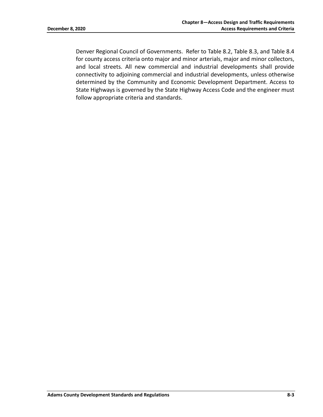Denver Regional Council of Governments. Refer to Table 8.2, Table 8.3, and Table 8.4 for county access criteria onto major and minor arterials, major and minor collectors, and local streets. All new commercial and industrial developments shall provide connectivity to adjoining commercial and industrial developments, unless otherwise determined by the Community and Economic Development Department. Access to State Highways is governed by the State Highway Access Code and the engineer must follow appropriate criteria and standards.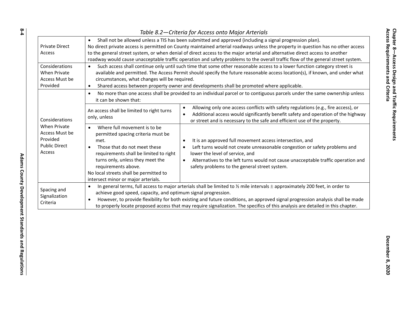| Table 8.2-Criteria for Access onto Major Arterials                                                           |                                                                                                                                                                                                                                                                                                                                                                                                                                                                                                                               |                                                                                                                                                                                                                                                                                                                                   |  |  |  |
|--------------------------------------------------------------------------------------------------------------|-------------------------------------------------------------------------------------------------------------------------------------------------------------------------------------------------------------------------------------------------------------------------------------------------------------------------------------------------------------------------------------------------------------------------------------------------------------------------------------------------------------------------------|-----------------------------------------------------------------------------------------------------------------------------------------------------------------------------------------------------------------------------------------------------------------------------------------------------------------------------------|--|--|--|
| <b>Private Direct</b><br><b>Access</b>                                                                       | Shall not be allowed unless a TIS has been submitted and approved (including a signal progression plan).<br>$\bullet$<br>No direct private access is permitted on County maintained arterial roadways unless the property in question has no other access<br>to the general street system, or when denial of direct access to the major arterial and alternative direct access to another<br>roadway would cause unacceptable traffic operation and safety problems to the overall traffic flow of the general street system. |                                                                                                                                                                                                                                                                                                                                   |  |  |  |
| Considerations<br><b>When Private</b><br>Access Must be<br>Provided                                          | Such access shall continue only until such time that some other reasonable access to a lower function category street is<br>$\bullet$<br>available and permitted. The Access Permit should specify the future reasonable access location(s), if known, and under what<br>circumstances, what changes will be required.<br>Shared access between property owner and developments shall be promoted where applicable.<br>$\bullet$                                                                                              |                                                                                                                                                                                                                                                                                                                                   |  |  |  |
| Considerations<br><b>When Private</b><br>Access Must be<br>Provided<br><b>Public Direct</b><br><b>Access</b> | No more than one access shall be provided to an individual parcel or to contiguous parcels under the same ownership unless<br>$\bullet$<br>it can be shown that:                                                                                                                                                                                                                                                                                                                                                              |                                                                                                                                                                                                                                                                                                                                   |  |  |  |
|                                                                                                              | An access shall be limited to right turns<br>only, unless                                                                                                                                                                                                                                                                                                                                                                                                                                                                     | Allowing only one access conflicts with safety regulations (e.g., fire access), or<br>$\bullet$<br>Additional access would significantly benefit safety and operation of the highway<br>$\bullet$<br>or street and is necessary to the safe and efficient use of the property.                                                    |  |  |  |
|                                                                                                              | Where full movement is to be<br>$\bullet$<br>permitted spacing criteria must be<br>met.<br>Those that do not meet these<br>$\bullet$<br>requirements shall be limited to right<br>turns only, unless they meet the<br>requirements above.<br>No local streets shall be permitted to<br>intersect minor or major arterials.                                                                                                                                                                                                    | It is an approved full movement access intersection, and<br>٠<br>Left turns would not create unreasonable congestion or safety problems and<br>lower the level of service, and<br>Alternatives to the left turns would not cause unacceptable traffic operation and<br>$\bullet$<br>safety problems to the general street system. |  |  |  |
| Spacing and<br>Signalization<br>Criteria                                                                     | In general terms, full access to major arterials shall be limited to $\frac{1}{2}$ mile intervals $\pm$ approximately 200 feet, in order to<br>$\bullet$<br>achieve good speed, capacity, and optimum signal progression.<br>However, to provide flexibility for both existing and future conditions, an approved signal progression analysis shall be made<br>to properly locate proposed access that may require signalization. The specifics of this analysis are detailed in this chapter.                                |                                                                                                                                                                                                                                                                                                                                   |  |  |  |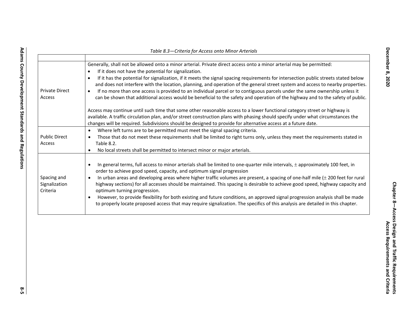| Generally, shall not be allowed onto a minor arterial. Private direct access onto a minor arterial may be permitted:<br>If it does not have the potential for signalization.<br>$\bullet$<br>If it has the potential for signalization, if it meets the signal spacing requirements for intersection public streets stated below<br>$\bullet$<br>and does not interfere with the location, planning, and operation of the general street system and access to nearby properties.<br>If no more than one access is provided to an individual parcel or to contiguous parcels under the same ownership unless it<br>٠<br>can be shown that additional access would be beneficial to the safety and operation of the highway and to the safety of public. |  |  |  |
|--------------------------------------------------------------------------------------------------------------------------------------------------------------------------------------------------------------------------------------------------------------------------------------------------------------------------------------------------------------------------------------------------------------------------------------------------------------------------------------------------------------------------------------------------------------------------------------------------------------------------------------------------------------------------------------------------------------------------------------------------------|--|--|--|
| Access may continue until such time that some other reasonable access to a lower functional category street or highway is<br>available. A traffic circulation plan, and/or street construction plans with phasing should specify under what circumstances the<br>changes will be required. Subdivisions should be designed to provide for alternative access at a future date.                                                                                                                                                                                                                                                                                                                                                                         |  |  |  |
| Where left turns are to be permitted must meet the signal spacing criteria.<br>$\bullet$                                                                                                                                                                                                                                                                                                                                                                                                                                                                                                                                                                                                                                                               |  |  |  |
| Those that do not meet these requirements shall be limited to right turns only, unless they meet the requirements stated in<br>$\bullet$<br>Table 8.2.                                                                                                                                                                                                                                                                                                                                                                                                                                                                                                                                                                                                 |  |  |  |
| No local streets shall be permitted to intersect minor or major arterials.<br>$\bullet$                                                                                                                                                                                                                                                                                                                                                                                                                                                                                                                                                                                                                                                                |  |  |  |
|                                                                                                                                                                                                                                                                                                                                                                                                                                                                                                                                                                                                                                                                                                                                                        |  |  |  |
| In general terms, full access to minor arterials shall be limited to one-quarter mile intervals, $\pm$ approximately 100 feet, in<br>$\bullet$<br>order to achieve good speed, capacity, and optimum signal progression                                                                                                                                                                                                                                                                                                                                                                                                                                                                                                                                |  |  |  |
| In urban areas and developing areas where higher traffic volumes are present, a spacing of one-half mile $(\pm 200$ feet for rural<br>$\bullet$<br>highway sections) for all accesses should be maintained. This spacing is desirable to achieve good speed, highway capacity and<br>optimum turning progression.                                                                                                                                                                                                                                                                                                                                                                                                                                      |  |  |  |
| However, to provide flexibility for both existing and future conditions, an approved signal progression analysis shall be made<br>to properly locate proposed access that may require signalization. The specifics of this analysis are detailed in this chapter.                                                                                                                                                                                                                                                                                                                                                                                                                                                                                      |  |  |  |
|                                                                                                                                                                                                                                                                                                                                                                                                                                                                                                                                                                                                                                                                                                                                                        |  |  |  |

*Table 8.3—Criteria for Access onto Minor Arterials*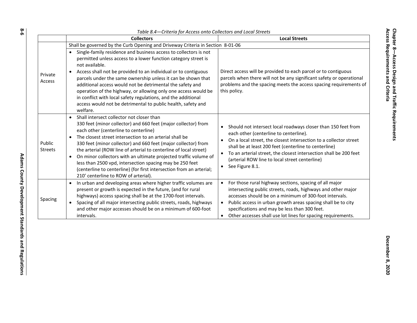|                          | Table 8.4-Criteria for Access onto Collectors and Local Streets                                                                                                                                                                                                                                                                                                                                                                                                                                                                                                                                                                  |                                                                                                                                                                                                                                                                                                                                                                                                          |
|--------------------------|----------------------------------------------------------------------------------------------------------------------------------------------------------------------------------------------------------------------------------------------------------------------------------------------------------------------------------------------------------------------------------------------------------------------------------------------------------------------------------------------------------------------------------------------------------------------------------------------------------------------------------|----------------------------------------------------------------------------------------------------------------------------------------------------------------------------------------------------------------------------------------------------------------------------------------------------------------------------------------------------------------------------------------------------------|
|                          | <b>Collectors</b>                                                                                                                                                                                                                                                                                                                                                                                                                                                                                                                                                                                                                | <b>Local Streets</b>                                                                                                                                                                                                                                                                                                                                                                                     |
|                          | Shall be governed by the Curb Opening and Driveway Criteria in Section 8-01-06                                                                                                                                                                                                                                                                                                                                                                                                                                                                                                                                                   |                                                                                                                                                                                                                                                                                                                                                                                                          |
| Private<br>Access        | Single-family residence and business access to collectors is not<br>permitted unless access to a lower function category street is<br>not available.<br>Access shall not be provided to an individual or to contiguous<br>$\bullet$<br>parcels under the same ownership unless it can be shown that<br>additional access would not be detrimental the safety and<br>operation of the highway, or allowing only one access would be<br>in conflict with local safety regulations, and the additional<br>access would not be detrimental to public health, safety and<br>welfare.                                                  | Direct access will be provided to each parcel or to contiguous<br>parcels when there will not be any significant safety or operational<br>problems and the spacing meets the access spacing requirements of<br>this policy.                                                                                                                                                                              |
| Public<br><b>Streets</b> | Shall intersect collector not closer than<br>$\bullet$<br>330 feet (minor collector) and 660 feet (major collector) from<br>each other (centerline to centerline)<br>The closest street intersection to an arterial shall be<br>330 feet (minor collector) and 660 feet (major collector) from<br>the arterial (ROW line of arterial to centerline of local street)<br>On minor collectors with an ultimate projected traffic volume of<br>$\bullet$<br>less than 2500 vpd, intersection spacing may be 250 feet<br>(centerline to centerline) (for first intersection from an arterial;<br>210' centerline to ROW of arterial). | Should not intersect local roadways closer than 150 feet from<br>each other (centerline to centerline).<br>On a local street, the closest intersection to a collector street<br>shall be at least 200 feet (centerline to centerline)<br>To an arterial street, the closest intersection shall be 200 feet<br>(arterial ROW line to local street centerline)<br>See Figure 8.1.                          |
| Spacing                  | In urban and developing areas where higher traffic volumes are<br>$\bullet$<br>present or growth is expected in the future, (and for rural<br>highways) access spacing shall be at the 1700-foot intervals.<br>Spacing of all major intersecting public streets, roads, highways<br>$\bullet$<br>and other major accesses should be on a minimum of 600-foot<br>intervals.                                                                                                                                                                                                                                                       | For those rural highway sections, spacing of all major<br>$\bullet$<br>intersecting public streets, roads, highways and other major<br>accesses should be on a minimum of 300-foot intervals.<br>Public access in urban growth areas spacing shall be to city<br>$\bullet$<br>specifications and may be less than 300 feet.<br>Other accesses shall use lot lines for spacing requirements.<br>$\bullet$ |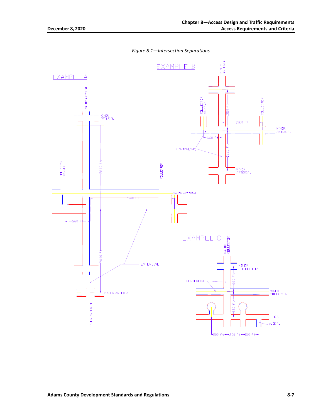*Figure 8.1—Intersection Separations*

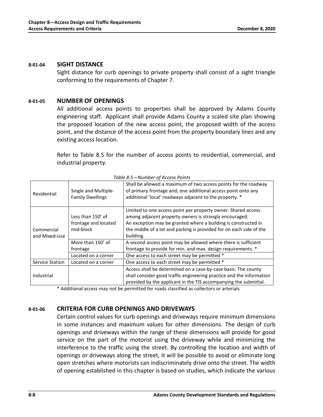#### **8-01-04 SIGHT DISTANCE**

Sight distance for curb openings to private property shall consist of a sight triangle conforming to the requirements of Chapter 7.

#### **8-01-05 NUMBER OF OPENINGS**

All additional access points to properties shall be approved by Adams County engineering staff. Applicant shall provide Adams County a scaled site plan showing the proposed location of the new access point, the proposed width of the access point, and the distance of the access point from the property boundary lines and any existing access location.

Refer to Table 8.5 for the number of access points to residential, commercial, and industrial property.

| Residential                 | Single and Multiple-<br><b>Family Dwellings</b>        | Shall be allowed a maximum of two access points for the roadway<br>of primary frontage and, one additional access point onto any<br>additional 'local' roadways adjacent to the property. *                                                                                   |  |  |  |
|-----------------------------|--------------------------------------------------------|-------------------------------------------------------------------------------------------------------------------------------------------------------------------------------------------------------------------------------------------------------------------------------|--|--|--|
| Commercial<br>and Mixed-Use | Less than 150' of<br>frontage and located<br>mid-block | Limited to one access point per property owner. Shared access<br>among adjacent property owners is strongly encouraged.<br>An exception may be granted where a building is constructed in<br>the middle of a lot and parking is provided for on each side of the<br>building. |  |  |  |
|                             | More than 150' of<br>frontage                          | A second access point may be allowed where there is sufficient<br>frontage to provide for min. and max. design requirements. *                                                                                                                                                |  |  |  |
|                             | Located on a corner                                    | One access to each street may be permitted *                                                                                                                                                                                                                                  |  |  |  |
| Service Station             | Located on a corner                                    | One access to each street may be permitted *                                                                                                                                                                                                                                  |  |  |  |
| Industrial                  |                                                        | Access shall be determined on a case-by-case basis. The county<br>shall consider good traffic engineering practice and the information<br>provided by the applicant in the TIS accompanying the submittal.                                                                    |  |  |  |

*Table 8.5—Number of Access Points*

\* Additional access may not be permitted for roads classified as collectors or arterials

#### **8-01-06 CRITERIA FOR CURB OPENINGS AND DRIVEWAYS**

Certain control values for curb openings and driveways require minimum dimensions in some instances and maximum values for other dimensions. The design of curb openings and driveways within the range of these dimensions will provide for good service on the part of the motorist using the driveway while and minimizing the interference to the traffic using the street. By controlling the location and width of openings or driveways along the street, it will be possible to avoid or eliminate long open stretches where motorists can indiscriminately drive onto the street. The width of opening established in this chapter is based on studies, which indicate the various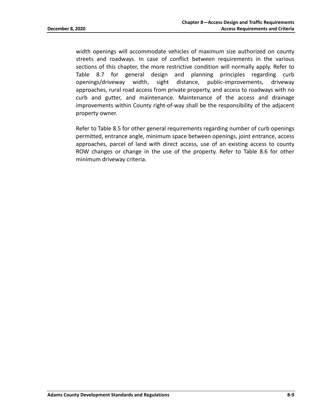width openings will accommodate vehicles of maximum size authorized on county streets and roadways. In case of conflict between requirements in the various sections of this chapter, the more restrictive condition will normally apply. Refer to Table 8.7 for general design and planning principles regarding curb openings/driveway width, sight distance, public-improvements, driveway approaches, rural road access from private property, and access to roadways with no curb and gutter, and maintenance. Maintenance of the access and drainage improvements within County right-of-way shall be the responsibility of the adjacent property owner.

Refer to Table 8.5 for other general requirements regarding number of curb openings permitted, entrance angle, minimum space between openings, joint entrance, access approaches, parcel of land with direct access, use of an existing access to county ROW changes or change in the use of the property. Refer to Table 8.6 for other minimum driveway criteria.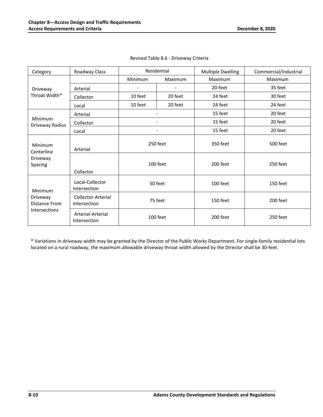| Category                                                            | Roadway Class                      | Residential    |                | <b>Multiple Dwelling</b> | Commercial/Industrial |
|---------------------------------------------------------------------|------------------------------------|----------------|----------------|--------------------------|-----------------------|
|                                                                     |                                    | <b>Minimum</b> | Maximum        | Maximum                  | Maximum               |
| Driveway                                                            | Arterial                           |                |                | 20-feet                  | 35 feet               |
| Throat Width*                                                       | Collector                          | 10 feet        | 20 feet        | 24 feet                  | 30 feet               |
|                                                                     | Local                              | 10 feet        | 20 feet        | 24 feet                  | 24 feet               |
|                                                                     | Arterial                           |                |                | 15 feet                  | 20 feet               |
| Minimum<br>Driveway Radius                                          | Collector                          |                |                | 15 feet                  | 20 feet               |
|                                                                     | Local                              |                | $\overline{a}$ | 15 feet                  | 20 feet               |
| Minimum<br>Centerline<br>Driveway<br>Spacing                        | Arterial                           | 250 feet       |                | 350 feet                 | 500 feet              |
|                                                                     | Collector                          | 100 feet       |                | 200 feet                 | 250 feet              |
| <b>Minimum</b><br>Driveway<br><b>Distance From</b><br>Intersections | Local-Collector<br>Intersection    | 50 feet        |                | 100 feet                 | 150 feet              |
|                                                                     | Collector-Arterial<br>Intersection | 75 feet        |                | 150 feet                 | 200 feet              |
|                                                                     | Arterial-Arterial<br>Intersection  | 100 feet       |                | 200 feet                 | 250 feet              |

|  |  |  | Revised Table 8.6 - Driveway Criteria |  |
|--|--|--|---------------------------------------|--|
|--|--|--|---------------------------------------|--|

\* Variations in driveway width may be granted by the Director of the Public Works Department. For single-family residential lots located on a rural roadway, the maximum allowable driveway throat width allowed by the Director shall be 30-feet.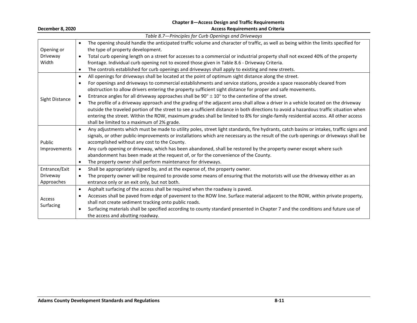#### **Chapter 8—Access Design and Traffic Requirements December 8, 2020 Access Requirements and Criteria**

|                | Table 8.7-Principles for Curb Openings and Driveways                                                                                                |
|----------------|-----------------------------------------------------------------------------------------------------------------------------------------------------|
|                | The opening should handle the anticipated traffic volume and character of traffic, as well as being within the limits specified for<br>$\bullet$    |
| Opening or     | the type of property development.                                                                                                                   |
| Driveway       | Total curb opening length on a street for accesses to a commercial or industrial property shall not exceed 40% of the property<br>$\bullet$         |
| Width          | frontage. Individual curb opening not to exceed those given in Table 8.6 - Driveway Criteria.                                                       |
|                | The controls established for curb openings and driveways shall apply to existing and new streets.<br>$\bullet$                                      |
|                | All openings for driveways shall be located at the point of optimum sight distance along the street.<br>$\bullet$                                   |
|                | For openings and driveways to commercial establishments and service stations, provide a space reasonably cleared from<br>$\bullet$                  |
|                | obstruction to allow drivers entering the property sufficient sight distance for proper and safe movements.                                         |
| Sight Distance | Entrance angles for all driveway approaches shall be $90^{\circ} \pm 10^{\circ}$ to the centerline of the street.                                   |
|                | The profile of a driveway approach and the grading of the adjacent area shall allow a driver in a vehicle located on the driveway                   |
|                | outside the traveled portion of the street to see a sufficient distance in both directions to avoid a hazardous traffic situation when              |
|                | entering the street. Within the ROW, maximum grades shall be limited to 8% for single-family residential access. All other access                   |
|                | shall be limited to a maximum of 2% grade.                                                                                                          |
|                | Any adjustments which must be made to utility poles, street light standards, fire hydrants, catch basins or intakes, traffic signs and<br>$\bullet$ |
|                | signals, or other public-improvements or installations which are necessary as the result of the curb openings or driveways shall be                 |
| Public         | accomplished without any cost to the County.                                                                                                        |
| Improvements   | Any curb opening or driveway, which has been abandoned, shall be restored by the property owner except where such<br>$\bullet$                      |
|                | abandonment has been made at the request of, or for the convenience of the County.                                                                  |
|                | The property owner shall perform maintenance for driveways.<br>$\bullet$                                                                            |
| Entrance/Exit  | Shall be appropriately signed by, and at the expense of, the property owner.<br>$\bullet$                                                           |
| Driveway       | The property owner will be required to provide some means of ensuring that the motorists will use the driveway either as an<br>$\bullet$            |
| Approaches     | entrance only or an exit only, but not both.                                                                                                        |
|                | Asphalt surfacing of the access shall be required when the roadway is paved.<br>$\bullet$                                                           |
| Access         | Accesses shall be paved from edge of pavement to the ROW line. Surface material adjacent to the ROW, within private property,<br>$\bullet$          |
| Surfacing      | shall not create sediment tracking onto public roads.                                                                                               |
|                | Surfacing materials shall be specified according to county standard presented in Chapter 7 and the conditions and future use of<br>٠                |
|                | the access and abutting roadway.                                                                                                                    |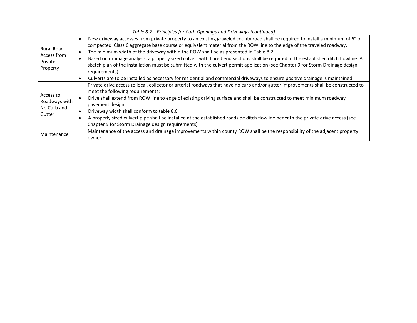| <b>Rural Road</b><br>Access from<br>Private<br>Property | New driveway accesses from private property to an existing graveled county road shall be required to install a minimum of 6" of<br>$\bullet$<br>compacted Class 6 aggregate base course or equivalent material from the ROW line to the edge of the traveled roadway.<br>The minimum width of the driveway within the ROW shall be as presented in Table 8.2.<br>$\bullet$<br>Based on drainage analysis, a properly sized culvert with flared end sections shall be required at the established ditch flowline. A<br>$\bullet$<br>sketch plan of the installation must be submitted with the culvert permit application (see Chapter 9 for Storm Drainage design<br>requirements).<br>Culverts are to be installed as necessary for residential and commercial driveways to ensure positive drainage is maintained.<br>$\bullet$ |
|---------------------------------------------------------|-----------------------------------------------------------------------------------------------------------------------------------------------------------------------------------------------------------------------------------------------------------------------------------------------------------------------------------------------------------------------------------------------------------------------------------------------------------------------------------------------------------------------------------------------------------------------------------------------------------------------------------------------------------------------------------------------------------------------------------------------------------------------------------------------------------------------------------|
| Access to<br>Roadways with<br>No Curb and<br>Gutter     | Private drive access to local, collector or arterial roadways that have no curb and/or gutter improvements shall be constructed to<br>meet the following requirements:<br>Drive shall extend from ROW line to edge of existing driving surface and shall be constructed to meet minimum roadway<br>pavement design.<br>Driveway width shall conform to table 8.6.<br>$\bullet$<br>A properly sized culvert pipe shall be installed at the established roadside ditch flowline beneath the private drive access (see<br>$\bullet$<br>Chapter 9 for Storm Drainage design requirements).                                                                                                                                                                                                                                            |
| Maintenance                                             | Maintenance of the access and drainage improvements within county ROW shall be the responsibility of the adjacent property<br>owner.                                                                                                                                                                                                                                                                                                                                                                                                                                                                                                                                                                                                                                                                                              |

#### *Table 8.7—Principles for Curb Openings and Driveways (continued)*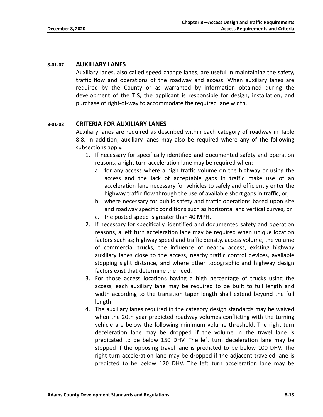#### **8-01-07 AUXILIARY LANES**

Auxiliary lanes, also called speed change lanes, are useful in maintaining the safety, traffic flow and operations of the roadway and access. When auxiliary lanes are required by the County or as warranted by information obtained during the development of the TIS, the applicant is responsible for design, installation, and purchase of right-of-way to accommodate the required lane width.

#### **8-01-08 CRITERIA FOR AUXILIARY LANES**

Auxiliary lanes are required as described within each category of roadway in Table 8.8. In addition, auxiliary lanes may also be required where any of the following subsections apply.

- 1. If necessary for specifically identified and documented safety and operation reasons, a right turn acceleration lane may be required when:
	- a. for any access where a high traffic volume on the highway or using the access and the lack of acceptable gaps in traffic make use of an acceleration lane necessary for vehicles to safely and efficiently enter the highway traffic flow through the use of available short gaps in traffic, or;
	- b. where necessary for public safety and traffic operations based upon site and roadway specific conditions such as horizontal and vertical curves, or
	- c. the posted speed is greater than 40 MPH.
- 2. If necessary for specifically, identified and documented safety and operation reasons, a left turn acceleration lane may be required when unique location factors such as; highway speed and traffic density, access volume, the volume of commercial trucks, the influence of nearby access, existing highway auxiliary lanes close to the access, nearby traffic control devices, available stopping sight distance, and where other topographic and highway design factors exist that determine the need.
- 3. For those access locations having a high percentage of trucks using the access, each auxiliary lane may be required to be built to full length and width according to the transition taper length shall extend beyond the full length
- 4. The auxiliary lanes required in the category design standards may be waived when the 20th year predicted roadway volumes conflicting with the turning vehicle are below the following minimum volume threshold. The right turn deceleration lane may be dropped if the volume in the travel lane is predicated to be below 150 DHV. The left turn deceleration lane may be stopped if the opposing travel lane is predicted to be below 100 DHV. The right turn acceleration lane may be dropped if the adjacent traveled lane is predicted to be below 120 DHV. The left turn acceleration lane may be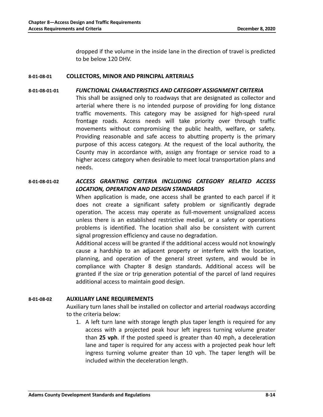dropped if the volume in the inside lane in the direction of travel is predicted to be below 120 DHV.

#### **8-01-08-01 COLLECTORS, MINOR AND PRINCIPAL ARTERIALS**

#### **8-01-08-01-01** *FUNCTIONAL CHARACTERISTICS AND CATEGORY ASSIGNMENT CRITERIA*

This shall be assigned only to roadways that are designated as collector and arterial where there is no intended purpose of providing for long distance traffic movements. This category may be assigned for high-speed rural frontage roads. Access needs will take priority over through traffic movements without compromising the public health, welfare, or safety. Providing reasonable and safe access to abutting property is the primary purpose of this access category. At the request of the local authority, the County may in accordance with, assign any frontage or service road to a higher access category when desirable to meet local transportation plans and needs.

#### **8-01-08-01-02** *ACCESS GRANTING CRITERIA INCLUDING CATEGORY RELATED ACCESS LOCATION, OPERATION AND DESIGN STANDARDS*

When application is made, one access shall be granted to each parcel if it does not create a significant safety problem or significantly degrade operation. The access may operate as full-movement unsignalized access unless there is an established restrictive medial, or a safety or operations problems is identified. The location shall also be consistent with current signal progression efficiency and cause no degradation.

Additional access will be granted if the additional access would not knowingly cause a hardship to an adjacent property or interfere with the location, planning, and operation of the general street system, and would be in compliance with Chapter 8 design standards. Additional access will be granted if the size or trip generation potential of the parcel of land requires additional access to maintain good design.

#### **8-01-08-02 AUXILIARY LANE REQUIREMENTS**

Auxiliary turn lanes shall be installed on collector and arterial roadways according to the criteria below:

1. A left turn lane with storage length plus taper length is required for any access with a projected peak hour left ingress turning volume greater than **25 vph**. If the posted speed is greater than 40 mph, a deceleration lane and taper is required for any access with a projected peak hour left ingress turning volume greater than 10 vph. The taper length will be included within the deceleration length.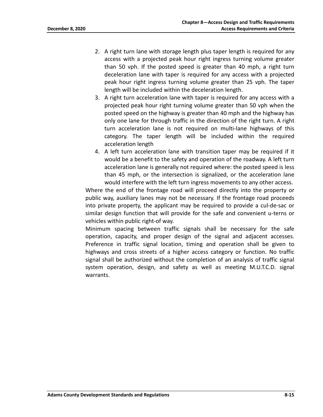- 2. A right turn lane with storage length plus taper length is required for any access with a projected peak hour right ingress turning volume greater than 50 vph. If the posted speed is greater than 40 mph, a right turn deceleration lane with taper is required for any access with a projected peak hour right ingress turning volume greater than 25 vph. The taper length will be included within the deceleration length.
- 3. A right turn acceleration lane with taper is required for any access with a projected peak hour right turning volume greater than 50 vph when the posted speed on the highway is greater than 40 mph and the highway has only one lane for through traffic in the direction of the right turn. A right turn acceleration lane is not required on multi-lane highways of this category. The taper length will be included within the required acceleration length
- 4. A left turn acceleration lane with transition taper may be required if it would be a benefit to the safety and operation of the roadway. A left turn acceleration lane is generally not required where: the posted speed is less than 45 mph, or the intersection is signalized, or the acceleration lane would interfere with the left turn ingress movements to any other access.

Where the end of the frontage road will proceed directly into the property or public way, auxiliary lanes may not be necessary. If the frontage road proceeds into private property, the applicant may be required to provide a cul-de-sac or similar design function that will provide for the safe and convenient u-terns or vehicles within public right-of way.

Minimum spacing between traffic signals shall be necessary for the safe operation, capacity, and proper design of the signal and adjacent accesses. Preference in traffic signal location, timing and operation shall be given to highways and cross streets of a higher access category or function. No traffic signal shall be authorized without the completion of an analysis of traffic signal system operation, design, and safety as well as meeting M.U.T.C.D. signal warrants.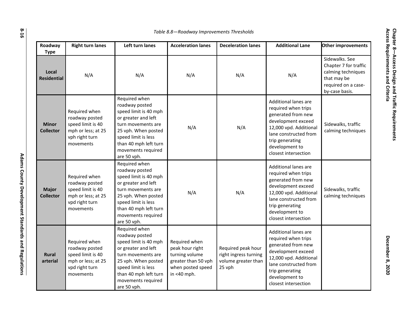| Roadway<br><b>Type</b>           | <b>Right turn lanes</b>                                                                                   | Left turn lanes                                                                                                                                                                                                   | <b>Acceleration lanes</b>                                                                                     | <b>Deceleration lanes</b>                                                    | <b>Additional Lane</b>                                                                                                                                                                                         | <b>Other improvements</b>                                                                                             |
|----------------------------------|-----------------------------------------------------------------------------------------------------------|-------------------------------------------------------------------------------------------------------------------------------------------------------------------------------------------------------------------|---------------------------------------------------------------------------------------------------------------|------------------------------------------------------------------------------|----------------------------------------------------------------------------------------------------------------------------------------------------------------------------------------------------------------|-----------------------------------------------------------------------------------------------------------------------|
| Local<br><b>Residential</b>      | N/A                                                                                                       | N/A                                                                                                                                                                                                               | N/A                                                                                                           | N/A                                                                          | N/A                                                                                                                                                                                                            | Sidewalks. See<br>Chapter 7 for traffic<br>calming techniques<br>that may be<br>required on a case-<br>by-case basis. |
| <b>Minor</b><br><b>Collector</b> | Required when<br>roadway posted<br>speed limit is 40<br>mph or less; at 25<br>vph right turn<br>movements | Required when<br>roadway posted<br>speed limit is 40 mph<br>or greater and left<br>turn movements are<br>25 vph. When posted<br>speed limit is less<br>than 40 mph left turn<br>movements required<br>are 50 vph. | N/A                                                                                                           | N/A                                                                          | <b>Additional lanes are</b><br>required when trips<br>generated from new<br>development exceed<br>12,000 vpd. Additional<br>lane constructed from<br>trip generating<br>development to<br>closest intersection | Sidewalks, traffic<br>calming techniques                                                                              |
| <b>Major</b><br><b>Collector</b> | Required when<br>roadway posted<br>speed limit is 40<br>mph or less; at 25<br>vpd right turn<br>movements | Required when<br>roadway posted<br>speed limit is 40 mph<br>or greater and left<br>turn movements are<br>25 vph. When posted<br>speed limit is less<br>than 40 mph left turn<br>movements required<br>are 50 vph. | N/A                                                                                                           | N/A                                                                          | <b>Additional lanes are</b><br>required when trips<br>generated from new<br>development exceed<br>12,000 vpd. Additional<br>lane constructed from<br>trip generating<br>development to<br>closest intersection | Sidewalks, traffic<br>calming techniques                                                                              |
| <b>Rural</b><br>arterial         | Required when<br>roadway posted<br>speed limit is 40<br>mph or less; at 25<br>vpd right turn<br>movements | Required when<br>roadway posted<br>speed limit is 40 mph<br>or greater and left<br>turn movements are<br>25 vph. When posted<br>speed limit is less<br>than 40 mph left turn<br>movements required<br>are 50 vph. | Required when<br>peak hour right<br>turning volume<br>greater than 50 vph<br>when posted speed<br>in <40 mph. | Required peak hour<br>right ingress turning<br>volume greater than<br>25 vph | <b>Additional lanes are</b><br>required when trips<br>generated from new<br>development exceed<br>12,000 vpd. Additional<br>lane constructed from<br>trip generating<br>development to<br>closest intersection |                                                                                                                       |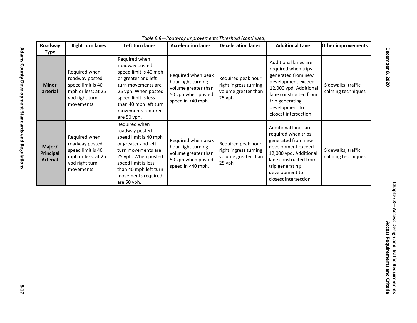|                                               |                                                                                                           | <u>IQUIE 0.0 NUUUWUV IIIIDI UVEIIIEIILS TIII ESIIUIU (CUILIIIIUEU)</u>                                                                                                                                            | <b>Deceleration lanes</b><br>Roadway<br><b>Right turn lanes</b><br>Left turn lanes<br><b>Acceleration lanes</b><br>Other improvements<br><b>Additional Lane</b> |                                                                              |                                                                                                                                                                                                         |                                          |  |  |
|-----------------------------------------------|-----------------------------------------------------------------------------------------------------------|-------------------------------------------------------------------------------------------------------------------------------------------------------------------------------------------------------------------|-----------------------------------------------------------------------------------------------------------------------------------------------------------------|------------------------------------------------------------------------------|---------------------------------------------------------------------------------------------------------------------------------------------------------------------------------------------------------|------------------------------------------|--|--|
| Type                                          |                                                                                                           |                                                                                                                                                                                                                   |                                                                                                                                                                 |                                                                              |                                                                                                                                                                                                         |                                          |  |  |
| <b>Minor</b><br>arterial                      | Required when<br>roadway posted<br>speed limit is 40<br>mph or less; at 25<br>vpd right turn<br>movements | Required when<br>roadway posted<br>speed limit is 40 mph<br>or greater and left<br>turn movements are<br>25 vph. When posted<br>speed limit is less<br>than 40 mph left turn<br>movements required<br>are 50 vph. | Required when peak<br>hour right turning<br>volume greater than<br>50 vph when posted<br>speed in <40 mph.                                                      | Required peak hour<br>right ingress turning<br>volume greater than<br>25 vph | Additional lanes are<br>required when trips<br>generated from new<br>development exceed<br>12,000 vpd. Additional<br>lane constructed from<br>trip generating<br>development to<br>closest intersection | Sidewalks, traffic<br>calming techniques |  |  |
| Major/<br><b>Principal</b><br><b>Arterial</b> | Required when<br>roadway posted<br>speed limit is 40<br>mph or less; at 25<br>vpd right turn<br>movements | Required when<br>roadway posted<br>speed limit is 40 mph<br>or greater and left<br>turn movements are<br>25 vph. When posted<br>speed limit is less<br>than 40 mph left turn<br>movements required<br>are 50 vph. | Required when peak<br>hour right turning<br>volume greater than<br>50 vph when posted<br>speed in <40 mph.                                                      | Required peak hour<br>right ingress turning<br>volume greater than<br>25 vph | Additional lanes are<br>required when trips<br>generated from new<br>development exceed<br>12,000 vpd. Additional<br>lane constructed from<br>trip generating<br>development to<br>closest intersection | Sidewalks, traffic<br>calming techniques |  |  |

**December 8, 2020**

**December 8, 2020**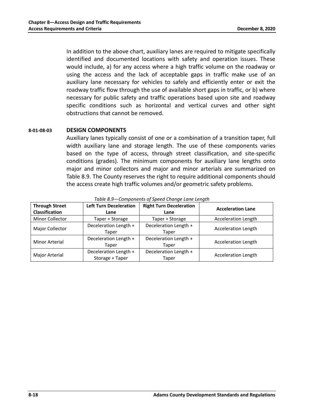In addition to the above chart, auxiliary lanes are required to mitigate specifically identified and documented locations with safety and operation issues. These would include, a) for any access where a high traffic volume on the roadway or using the access and the lack of acceptable gaps in traffic make use of an auxiliary lane necessary for vehicles to safely and efficiently enter or exit the roadway traffic flow through the use of available short gaps in traffic, or b) where necessary for public safety and traffic operations based upon site and roadway specific conditions such as horizontal and vertical curves and other sight obstructions that cannot be removed.

#### **8-01-08-03 DESIGN COMPONENTS**

Auxiliary lanes typically consist of one or a combination of a transition taper, full width auxiliary lane and storage length. The use of these components varies based on the type of access, through street classification, and site-specific conditions (grades). The minimum components for auxiliary lane lengths onto major and minor collectors and major and minor arterials are summarized on Table 8.9. The County reserves the right to require additional components should the access create high traffic volumes and/or geometric safety problems.

| <b>Through Street</b><br><b>Classification</b> | <b>Left Turn Deceleration</b><br>Lane    | <b>Right Turn Deceleration</b><br>Lane | <b>Acceleration Lane</b>   |
|------------------------------------------------|------------------------------------------|----------------------------------------|----------------------------|
| Minor Collector                                | Taper + Storage                          | Taper + Storage                        | <b>Acceleration Length</b> |
| Major Collector                                | Deceleration Length +<br>Taper           | Deceleration Length +<br>Taper         | <b>Acceleration Length</b> |
| Minor Arterial                                 | Deceleration Length +<br>Taper           | Deceleration Length +<br>Taper         | <b>Acceleration Length</b> |
| Major Arterial                                 | Deceleration Length +<br>Storage + Taper | Deceleration Length +<br>Taper         | <b>Acceleration Length</b> |

*Table 8.9—Components of Speed Change Lane Length*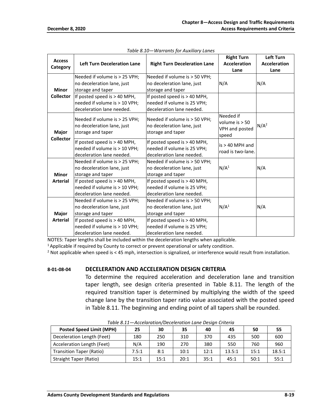| <b>Access</b><br>Category | <b>Left Turn Deceleration Lane</b>                                                         | <b>Right Turn Deceleration Lane</b>                                                        | <b>Right Turn</b><br><b>Acceleration</b><br>Lane         | Left Turn<br><b>Acceleration</b><br>Lane |
|---------------------------|--------------------------------------------------------------------------------------------|--------------------------------------------------------------------------------------------|----------------------------------------------------------|------------------------------------------|
| <b>Minor</b>              | Needed if volume is > 25 VPH;<br>no deceleration lane, just<br>storage and taper           | Needed if volume is > 50 VPH;<br>no deceleration lane, just<br>storage and taper           | N/A                                                      | N/A                                      |
| <b>Collector</b>          | If posted speed is > 40 MPH,<br>needed if volume is > 10 VPH;<br>deceleration lane needed. | If posted speed is $> 40$ MPH,<br>needed if volume is 25 VPH;<br>deceleration lane needed. |                                                          |                                          |
| Major                     | Needed if volume is > 25 VPH;<br>no deceleration lane, just<br>storage and taper           | Needed if volume is > 50 VPH;<br>no deceleration lane, just<br>storage and taper           | Needed if<br>volume is $> 50$<br>VPH and posted<br>speed | N/A <sup>2</sup>                         |
| <b>Collector</b>          | If posted speed is > 40 MPH,<br>needed if volume is > 10 VPH;<br>deceleration lane needed. | If posted speed is > 40 MPH,<br>needed if volume is 25 VPH;<br>deceleration lane needed.   | $is > 40$ MPH and<br>road is two-lane.                   |                                          |
| <b>Minor</b>              | Needed if volume is > 25 VPH;<br>no deceleration lane, just<br>storage and taper           | Needed if volume is > 50 VPH;<br>no deceleration lane, just<br>storage and taper           | N/A <sup>1</sup>                                         | N/A                                      |
| <b>Arterial</b>           | If posted speed is > 40 MPH,<br>needed if volume is > 10 VPH;<br>deceleration lane needed. | If posted speed is $> 40$ MPH,<br>needed if volume is 25 VPH;<br>deceleration lane needed. |                                                          |                                          |
| Major                     | Needed if volume is > 25 VPH;<br>no deceleration lane, just<br>storage and taper           | Needed if volume is > 50 VPH;<br>no deceleration lane, just<br>storage and taper           | N/A <sup>1</sup>                                         | N/A                                      |
| <b>Arterial</b>           | If posted speed is > 40 MPH,<br>needed if volume is > 10 VPH;<br>deceleration lane needed. | If posted speed is > 40 MPH,<br>needed if volume is 25 VPH;<br>deceleration lane needed.   |                                                          |                                          |

*Table 8.10—Warrants for Auxiliary Lanes*

NOTES: Taper lengths shall be included within the deceleration lengths when applicable.

 $<sup>1</sup>$  Applicable if required by County to correct or prevent operational or safety condition.</sup>

<sup>2</sup> Not applicable when speed is < 45 mph, intersection is signalized, or interference would result from installation.

#### **8-01-08-04 DECELERATION AND ACCELERATION DESIGN CRITERIA**

To determine the required acceleration and deceleration lane and transition taper length, see design criteria presented in Table 8.11. The length of the required transition taper is determined by multiplying the width of the speed change lane by the transition taper ratio value associated with the posted speed in Table 8.11. The beginning and ending point of all tapers shall be rounded.

| <b>Posted Speed Limit (MPH)</b> | 25    | 30   | 35   | 40   | 45     | 50   | 55     |
|---------------------------------|-------|------|------|------|--------|------|--------|
| Deceleration Length (Feet)      | 180   | 250  | 310  | 370  | 435    | 500  | 600    |
| Acceleration Length (Feet)      | N/A   | 190  | 270  | 380  | 550    | 760  | 960    |
| Transition Taper (Ratio)        | 7.5:1 | 8:1  | 10:1 | 12:1 | 13.5:1 | 15:1 | 18.5:1 |
| <b>Straight Taper (Ratio)</b>   | 15:1  | 15:1 | 20:1 | 35:1 | 45:1   | 50:1 | 55:1   |

*Table 8.11—Accelaration/Deceleration Lane Design Criteria*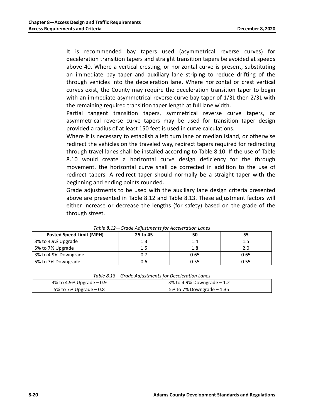It is recommended bay tapers used (asymmetrical reverse curves) for deceleration transition tapers and straight transition tapers be avoided at speeds above 40. Where a vertical cresting, or horizontal curve is present, substituting an immediate bay taper and auxiliary lane striping to reduce drifting of the through vehicles into the deceleration lane. Where horizontal or crest vertical curves exist, the County may require the deceleration transition taper to begin with an immediate asymmetrical reverse curve bay taper of 1/3L then 2/3L with the remaining required transition taper length at full lane width.

Partial tangent transition tapers, symmetrical reverse curve tapers, or asymmetrical reverse curve tapers may be used for transition taper design provided a radius of at least 150 feet is used in curve calculations.

Where it is necessary to establish a left turn lane or median island, or otherwise redirect the vehicles on the traveled way, redirect tapers required for redirecting through travel lanes shall be installed according to Table 8.10. If the use of Table 8.10 would create a horizontal curve design deficiency for the through movement, the horizontal curve shall be corrected in addition to the use of redirect tapers. A redirect taper should normally be a straight taper with the beginning and ending points rounded.

Grade adjustments to be used with the auxiliary lane design criteria presented above are presented in Table 8.12 and Table 8.13. These adjustment factors will either increase or decrease the lengths (for safety) based on the grade of the through street.

| <b>Prage / Motoricity for Acceleration Lance</b> |          |      |      |  |  |  |
|--------------------------------------------------|----------|------|------|--|--|--|
| <b>Posted Speed Limit (MPH)</b>                  | 25 to 45 | 50   | 55   |  |  |  |
| 3% to 4.9% Upgrade                               | 1.3      | 1.4  |      |  |  |  |
| 5% to 7% Upgrade                                 | 1.5      | 1.8  | 2.0  |  |  |  |
| 3% to 4.9% Downgrade                             | 0.7      | 0.65 | 0.65 |  |  |  |
| 5% to 7% Downgrade                               | 0.6      | 0.55 | 0.55 |  |  |  |

*Table 8.12—Grade Adjustments for Acceleration Lanes*

| Table 8.13-Grade Adjustments for Deceleration Lanes |  |
|-----------------------------------------------------|--|
|-----------------------------------------------------|--|

| 3% to 4.9% Upgrade $-0.9$ | 3% to 4.9% Downgrade $-1.2$ |
|---------------------------|-----------------------------|
| 5% to 7% Upgrade $-0.8$   | 5% to 7% Downgrade $-1.35$  |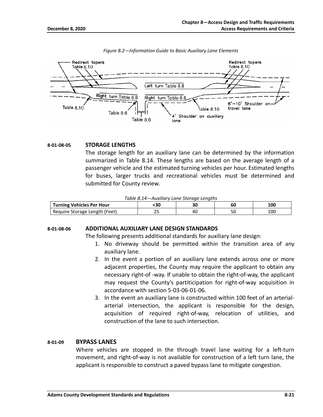

*Figure 8.2—Information Guide to Basic Auxiliary Lane Elements*

#### **8-01-08-05 STORAGE LENGTHS**

The storage length for an auxiliary lane can be determined by the information summarized in Table 8.14. These lengths are based on the average length of a passenger vehicle and the estimated turning vehicles per hour. Estimated lengths for buses, larger trucks and recreational vehicles must be determined and submitted for County review.

| Table 8.14-Auxiliary Lane Storage Lengths |  |  |
|-------------------------------------------|--|--|
|-------------------------------------------|--|--|

| <b>Turning Vehicles Per Hour</b> | ٠sι        | 30 | υu | 100<br>luu |
|----------------------------------|------------|----|----|------------|
| Require Storage Length (Feet)    | <u>_ _</u> | 40 | Jι | 100        |

#### **8-01-08-06 ADDITIONAL AUXILIARY LANE DESIGN STANDARDS**

The following presents additional standards for auxiliary lane design:

- 1. No driveway should be permitted within the transition area of any auxiliary lane.
- 2. In the event a portion of an auxiliary lane extends across one or more adjacent properties, the County may require the applicant to obtain any necessary right-of -way. If unable to obtain the right-of-way, the applicant may request the County's partiticipation for right-of-way acquisition in accordance with section 5-03-06-01-06.
- 3. In the event an auxiliary lane is constructed within 100 feet of an arterialarterial intersection, the applicant is responsible for the design, acquisition of required right-of-way, relocation of utilities, and construction of the lane to such intersection.

#### **8-01-09 BYPASS LANES**

Where vehicles are stopped in the through travel lane waiting for a left-turn movement, and right-of-way is not available for construction of a left turn lane, the applicant is responsible to construct a paved bypass lane to mitigate congestion.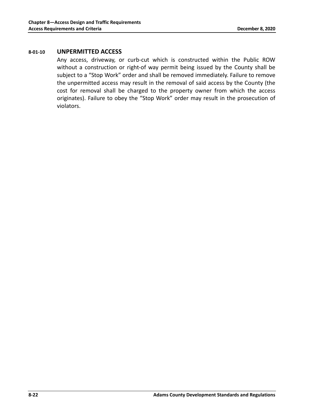#### **8-01-10 UNPERMITTED ACCESS**

Any access, driveway, or curb-cut which is constructed within the Public ROW without a construction or right-of way permit being issued by the County shall be subject to a "Stop Work" order and shall be removed immediately. Failure to remove the unpermitted access may result in the removal of said access by the County (the cost for removal shall be charged to the property owner from which the access originates). Failure to obey the "Stop Work" order may result in the prosecution of violators.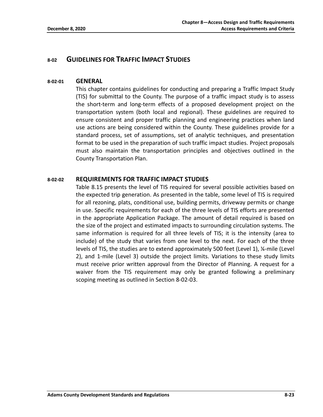### **8-02 GUIDELINES FOR TRAFFIC IMPACT STUDIES**

#### **8-02-01 GENERAL**

This chapter contains guidelines for conducting and preparing a Traffic Impact Study (TIS) for submittal to the County. The purpose of a traffic impact study is to assess the short-term and long-term effects of a proposed development project on the transportation system (both local and regional). These guidelines are required to ensure consistent and proper traffic planning and engineering practices when land use actions are being considered within the County. These guidelines provide for a standard process, set of assumptions, set of analytic techniques, and presentation format to be used in the preparation of such traffic impact studies. Project proposals must also maintain the transportation principles and objectives outlined in the County Transportation Plan.

#### **8-02-02 REQUIREMENTS FOR TRAFFIC IMPACT STUDIES**

Table 8.15 presents the level of TIS required for several possible activities based on the expected trip generation. As presented in the table, some level of TIS is required for all rezoning, plats, conditional use, building permits, driveway permits or change in use. Specific requirements for each of the three levels of TIS efforts are presented in the appropriate Application Package. The amount of detail required is based on the size of the project and estimated impacts to surrounding circulation systems. The same information is required for all three levels of TIS; it is the intensity (area to include) of the study that varies from one level to the next. For each of the three levels of TIS, the studies are to extend approximately 500 feet (Level 1), ¼-mile (Level 2), and 1-mile (Level 3) outside the project limits. Variations to these study limits must receive prior written approval from the Director of Planning. A request for a waiver from the TIS requirement may only be granted following a preliminary scoping meeting as outlined in Section 8-02-03.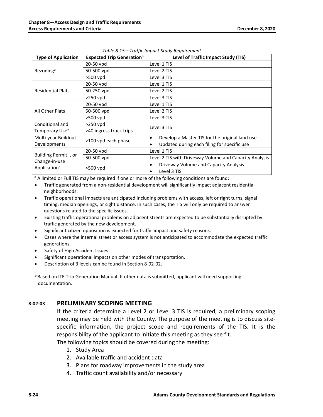| <b>Type of Application</b>                                         | <b>Expected Trip Generation</b> b | Level of Traffic Impact Study (TIS)                    |  |  |
|--------------------------------------------------------------------|-----------------------------------|--------------------------------------------------------|--|--|
| Rezoning <sup>a</sup>                                              | 20-50 vpd                         | Level 1 TIS                                            |  |  |
|                                                                    | 50-500 vpd                        | Level 2 TIS                                            |  |  |
|                                                                    | >500 vpd                          | Level 3 TIS                                            |  |  |
|                                                                    | 20-50 vpd                         | Level 1 TIS                                            |  |  |
| <b>Residential Plats</b>                                           | 50-250 vpd                        | Level 2 TIS                                            |  |  |
|                                                                    | $>250$ vpd                        | Level 3 TIS                                            |  |  |
|                                                                    | 20-50 vpd                         | Level 1 TIS                                            |  |  |
| All Other Plats                                                    | 50-500 vpd                        | Level 2 TIS                                            |  |  |
|                                                                    | $>500$ vpd                        | Level 3 TIS                                            |  |  |
| Conditional and                                                    | $>250$ vpd                        | Level 3 TIS                                            |  |  |
| Temporary Use <sup>a</sup>                                         | >40 ingress truck trips           |                                                        |  |  |
| Multi-year Buildout                                                | >100 vpd each phase               | Develop a Master TIS for the original land use<br>٠    |  |  |
| Developments                                                       |                                   | Updated during each filing for specific use            |  |  |
| Building Permit, , or<br>Change-in-use<br>Application <sup>a</sup> | 20-50 vpd                         | Level 1 TIS                                            |  |  |
|                                                                    | 50-500 vpd                        | Level 2 TIS with Driveway Volume and Capacity Analysis |  |  |
|                                                                    |                                   | Driveway Volume and Capacity Analysis<br>$\bullet$     |  |  |
|                                                                    | $>500$ vpd                        | Level 3 TIS                                            |  |  |

*Table 8.15—Traffic Impact Study Requirement*

<sup>a</sup> A limited or Full TIS may be required if one or more of the following conditions are found:

- Traffic generated from a non-residential development will significantly impact adjacent residential neighborhoods.
- Traffic operational impacts are anticipated including problems with access, left or right turns, signal timing, median openings, or sight distance. In such cases, the TIS will only be required to answer questions related to the specific issues.
- Existing traffic operational problems on adjacent streets are expected to be substantially disrupted by traffic generated by the new development.
- Significant citizen opposition is expected for traffic impact and safety reasons.
- Cases where the internal street or access system is not anticipated to accommodate the expected traffic generations.
- Safety of High Accident Issues
- Significant operational impacts on other modes of transportation.
- Description of 3 levels can be found in Section 8-02-02.

**b** Based on ITE Trip Generation Manual. If other data is submitted, applicant will need supporting documentation.

#### **8-02-03 PRELIMINARY SCOPING MEETING**

If the criteria determine a Level 2 or Level 3 TIS is required, a preliminary scoping meeting may be held with the County. The purpose of the meeting is to discuss sitespecific information, the project scope and requirements of the TIS. It is the responsibility of the applicant to initiate this meeting as they see fit.

The following topics should be covered during the meeting:

- 1. Study Area
- 2. Available traffic and accident data
- 3. Plans for roadway improvements in the study area
- 4. Traffic count availability and/or necessary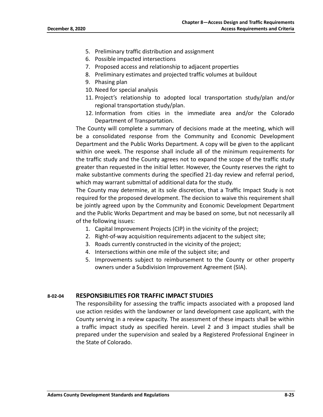- 5. Preliminary traffic distribution and assignment
- 6. Possible impacted intersections
- 7. Proposed access and relationship to adjacent properties
- 8. Preliminary estimates and projected traffic volumes at buildout
- 9. Phasing plan
- 10. Need for special analysis
- 11. Project's relationship to adopted local transportation study/plan and/or regional transportation study/plan.
- 12. Information from cities in the immediate area and/or the Colorado Department of Transportation.

The County will complete a summary of decisions made at the meeting, which will be a consolidated response from the Community and Economic Development Department and the Public Works Department. A copy will be given to the applicant within one week. The response shall include all of the minimum requirements for the traffic study and the County agrees not to expand the scope of the traffic study greater than requested in the initial letter. However, the County reserves the right to make substantive comments during the specified 21-day review and referral period, which may warrant submittal of additional data for the study.

The County may determine, at its sole discretion, that a Traffic Impact Study is not required for the proposed development. The decision to waive this requirement shall be jointly agreed upon by the Community and Economic Development Department and the Public Works Department and may be based on some, but not necessarily all of the following issues:

- 1. Capital Improvement Projects (CIP) in the vicinity of the project;
- 2. Right-of-way acquisition requirements adjacent to the subject site;
- 3. Roads currently constructed in the vicinity of the project;
- 4. Intersections within one mile of the subject site; and
- 5. Improvements subject to reimbursement to the County or other property owners under a Subdivision Improvement Agreement (SIA).

#### **8-02-04 RESPONSIBILITIES FOR TRAFFIC IMPACT STUDIES**

The responsibility for assessing the traffic impacts associated with a proposed land use action resides with the landowner or land development case applicant, with the County serving in a review capacity. The assessment of these impacts shall be within a traffic impact study as specified herein. Level 2 and 3 impact studies shall be prepared under the supervision and sealed by a Registered Professional Engineer in the State of Colorado.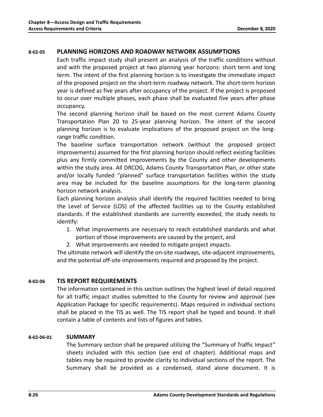#### **8-02-05 PLANNING HORIZONS AND ROADWAY NETWORK ASSUMPTIONS**

Each traffic impact study shall present an analysis of the traffic conditions without and with the proposed project at two planning year horizons: short term and long term. The intent of the first planning horizon is to investigate the immediate impact of the proposed project on the short-term roadway network. The short-term horizon year is defined as five years after occupancy of the project. If the project is proposed to occur over multiple phases, each phase shall be evaluated five years after phase occupancy.

The second planning horizon shall be based on the most current Adams County Transportation Plan 20 to 25-year planning horizon. The intent of the second planning horizon is to evaluate implications of the proposed project on the longrange traffic condition.

The baseline surface transportation network (without the proposed project improvements) assumed for the first planning horizon should reflect existing facilities plus any firmly committed improvements by the County and other developments within the study area. All DRCOG, Adams County Transportation Plan, or other state and/or locally funded "planned" surface transportation facilities within the study area may be included for the baseline assumptions for the long-term planning horizon network analysis.

Each planning horizon analysis shall identify the required facilities needed to bring the Level of Service (LOS) of the affected facilities up to the County established standards. If the established standards are currently exceeded, the study needs to identify:

- 1. What improvements are necessary to reach established standards and what portion of those improvements are caused by the project, and
- 2. What improvements are needed to mitigate project impacts.

The ultimate network will identify the on-site roadways, site-adjacent improvements, and the potential off-site improvements required and proposed by the project.

#### **8-02-06 TIS REPORT REQUIREMENTS**

The information contained in this section outlines the highest level of detail required for all traffic impact studies submitted to the County for review and approval (see Application Package for specific requirements). Maps required in individual sections shall be placed in the TIS as well. The TIS report shall be typed and bound. It shall contain a table of contents and lists of figures and tables.

#### **8-02-06-01 SUMMARY**

The Summary section shall be prepared utilizing the "Summary of Traffic Impact" sheets included with this section (see end of chapter). Additional maps and tables may be required to provide clarity to individual sections of the report. The Summary shall be provided as a condensed, stand alone document. It is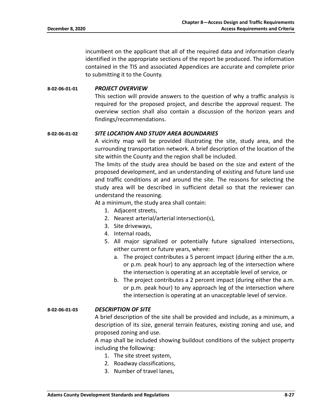incumbent on the applicant that all of the required data and information clearly identified in the appropriate sections of the report be produced. The information contained in the TIS and associated Appendices are accurate and complete prior to submitting it to the County.

#### **8-02-06-01-01** *PROJECT OVERVIEW*

This section will provide answers to the question of why a traffic analysis is required for the proposed project, and describe the approval request. The overview section shall also contain a discussion of the horizon years and findings/recommendations.

#### **8-02-06-01-02** *SITE LOCATION AND STUDY AREA BOUNDARIES*

A vicinity map will be provided illustrating the site, study area, and the surrounding transportation network. A brief description of the location of the site within the County and the region shall be included.

The limits of the study area should be based on the size and extent of the proposed development, and an understanding of existing and future land use and traffic conditions at and around the site. The reasons for selecting the study area will be described in sufficient detail so that the reviewer can understand the reasoning.

At a minimum, the study area shall contain:

- 1. Adjacent streets,
- 2. Nearest arterial/arterial intersection(s),
- 3. Site driveways,
- 4. Internal roads,
- 5. All major signalized or potentially future signalized intersections, either current or future years, where:
	- a. The project contributes a 5 percent impact (during either the a.m. or p.m. peak hour) to any approach leg of the intersection where the intersection is operating at an acceptable level of service, or
	- b. The project contributes a 2 percent impact (during either the a.m. or p.m. peak hour) to any approach leg of the intersection where the intersection is operating at an unacceptable level of service.

#### **8-02-06-01-03** *DESCRIPTION OF SITE*

A brief description of the site shall be provided and include, as a minimum, a description of its size, general terrain features, existing zoning and use, and proposed zoning and use.

A map shall be included showing buildout conditions of the subject property including the following:

- 1. The site street system,
- 2. Roadway classifications,
- 3. Number of travel lanes,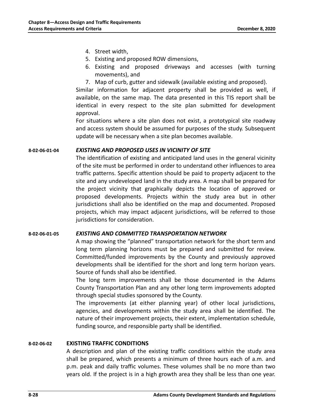- 4. Street width,
- 5. Existing and proposed ROW dimensions,
- 6. Existing and proposed driveways and accesses (with turning movements), and
- 7. Map of curb, gutter and sidewalk (available existing and proposed).

Similar information for adjacent property shall be provided as well, if available, on the same map. The data presented in this TIS report shall be identical in every respect to the site plan submitted for development approval.

For situations where a site plan does not exist, a prototypical site roadway and access system should be assumed for purposes of the study. Subsequent update will be necessary when a site plan becomes available.

#### **8-02-06-01-04** *EXISTING AND PROPOSED USES IN VICINITY OF SITE*

The identification of existing and anticipated land uses in the general vicinity of the site must be performed in order to understand other influences to area traffic patterns. Specific attention should be paid to property adjacent to the site and any undeveloped land in the study area. A map shall be prepared for the project vicinity that graphically depicts the location of approved or proposed developments. Projects within the study area but in other jurisdictions shall also be identified on the map and documented. Proposed projects, which may impact adjacent jurisdictions, will be referred to those jurisdictions for consideration.

#### **8-02-06-01-05** *EXISTING AND COMMITTED TRANSPORTATION NETWORK*

A map showing the "planned" transportation network for the short term and long term planning horizons must be prepared and submitted for review. Committed/funded improvements by the County and previously approved developments shall be identified for the short and long term horizon years. Source of funds shall also be identified.

The long term improvements shall be those documented in the Adams County Transportation Plan and any other long term improvements adopted through special studies sponsored by the County.

The improvements (at either planning year) of other local jurisdictions, agencies, and developments within the study area shall be identified. The nature of their improvement projects, their extent, implementation schedule, funding source, and responsible party shall be identified.

#### **8-02-06-02 EXISTING TRAFFIC CONDITIONS**

A description and plan of the existing traffic conditions within the study area shall be prepared, which presents a minimum of three hours each of a.m. and p.m. peak and daily traffic volumes. These volumes shall be no more than two years old. If the project is in a high growth area they shall be less than one year.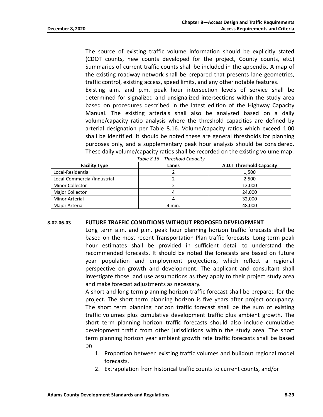The source of existing traffic volume information should be explicitly stated (CDOT counts, new counts developed for the project, County counts, etc.) Summaries of current traffic counts shall be included in the appendix. A map of the existing roadway network shall be prepared that presents lane geometrics, traffic control, existing access, speed limits, and any other notable features.

Existing a.m. and p.m. peak hour intersection levels of service shall be determined for signalized and unsignalized intersections within the study area based on procedures described in the latest edition of the Highway Capacity Manual. The existing arterials shall also be analyzed based on a daily volume/capacity ratio analysis where the threshold capacities are defined by arterial designation per Table 8.16. Volume/capacity ratios which exceed 1.00 shall be identified. It should be noted these are general thresholds for planning purposes only, and a supplementary peak hour analysis should be considered. These daily volume/capacity ratios shall be recorded on the existing volume map.

| <b>Facility Type</b>        | Lanes  | <b>A.D.T Threshold Capacity</b> |
|-----------------------------|--------|---------------------------------|
| Local-Residential           |        | 1,500                           |
| Local-Commercial/Industrial |        | 2,500                           |
| <b>Minor Collector</b>      |        | 12,000                          |
| <b>Major Collector</b>      |        | 24.000                          |
| <b>Minor Arterial</b>       |        | 32,000                          |
| Major Arterial              | 4 min. | 48,000                          |

|  | Table 8.16-Threshold Capacity |  |
|--|-------------------------------|--|
|  |                               |  |

#### **8-02-06-03 FUTURE TRAFFIC CONDITIONS WITHOUT PROPOSED DEVELOPMENT**

Long term a.m. and p.m. peak hour planning horizon traffic forecasts shall be based on the most recent Transportation Plan traffic forecasts. Long term peak hour estimates shall be provided in sufficient detail to understand the recommended forecasts. It should be noted the forecasts are based on future year population and employment projections, which reflect a regional perspective on growth and development. The applicant and consultant shall investigate those land use assumptions as they apply to their project study area and make forecast adjustments as necessary.

A short and long term planning horizon traffic forecast shall be prepared for the project. The short term planning horizon is five years after project occupancy. The short term planning horizon traffic forecast shall be the sum of existing traffic volumes plus cumulative development traffic plus ambient growth. The short term planning horizon traffic forecasts should also include cumulative development traffic from other jurisdictions within the study area. The short term planning horizon year ambient growth rate traffic forecasts shall be based on:

- 1. Proportion between existing traffic volumes and buildout regional model forecasts,
- 2. Extrapolation from historical traffic counts to current counts, and/or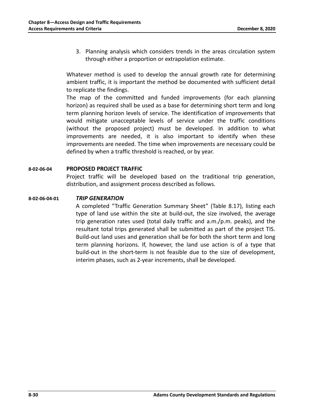3. Planning analysis which considers trends in the areas circulation system through either a proportion or extrapolation estimate.

Whatever method is used to develop the annual growth rate for determining ambient traffic, it is important the method be documented with sufficient detail to replicate the findings.

The map of the committed and funded improvements (for each planning horizon) as required shall be used as a base for determining short term and long term planning horizon levels of service. The identification of improvements that would mitigate unacceptable levels of service under the traffic conditions (without the proposed project) must be developed. In addition to what improvements are needed, it is also important to identify when these improvements are needed. The time when improvements are necessary could be defined by when a traffic threshold is reached, or by year.

#### **8-02-06-04 PROPOSED PROJECT TRAFFIC**

Project traffic will be developed based on the traditional trip generation, distribution, and assignment process described as follows.

#### **8-02-06-04-01** *TRIP GENERATION*

A completed "Traffic Generation Summary Sheet" (Table 8.17), listing each type of land use within the site at build-out, the size involved, the average trip generation rates used (total daily traffic and a.m./p.m. peaks), and the resultant total trips generated shall be submitted as part of the project TIS. Build-out land uses and generation shall be for both the short term and long term planning horizons. If, however, the land use action is of a type that build-out in the short-term is not feasible due to the size of development, interim phases, such as 2-year increments, shall be developed.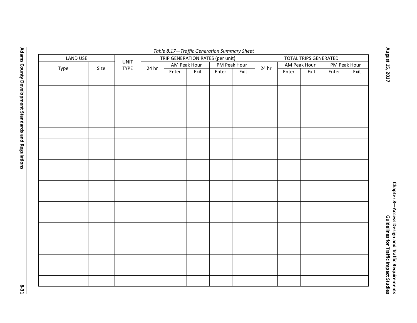| Table 8.17-Traffic Generation Summary Sheet |      |                                                 |       |       |              |                       |      |       |       |              |              |      |
|---------------------------------------------|------|-------------------------------------------------|-------|-------|--------------|-----------------------|------|-------|-------|--------------|--------------|------|
| LAND USE                                    |      | TRIP GENERATION RATES (per unit)<br><b>UNIT</b> |       |       |              | TOTAL TRIPS GENERATED |      |       |       |              |              |      |
|                                             |      | <b>TYPE</b>                                     | 24 hr |       | AM Peak Hour | PM Peak Hour          |      |       |       | AM Peak Hour | PM Peak Hour |      |
| Type                                        | Size |                                                 |       | Enter | Exit         | Enter                 | Exit | 24 hr | Enter | Exit         | Enter        | Exit |
|                                             |      |                                                 |       |       |              |                       |      |       |       |              |              |      |
|                                             |      |                                                 |       |       |              |                       |      |       |       |              |              |      |
|                                             |      |                                                 |       |       |              |                       |      |       |       |              |              |      |
|                                             |      |                                                 |       |       |              |                       |      |       |       |              |              |      |
|                                             |      |                                                 |       |       |              |                       |      |       |       |              |              |      |
|                                             |      |                                                 |       |       |              |                       |      |       |       |              |              |      |
|                                             |      |                                                 |       |       |              |                       |      |       |       |              |              |      |
|                                             |      |                                                 |       |       |              |                       |      |       |       |              |              |      |
|                                             |      |                                                 |       |       |              |                       |      |       |       |              |              |      |
|                                             |      |                                                 |       |       |              |                       |      |       |       |              |              |      |
|                                             |      |                                                 |       |       |              |                       |      |       |       |              |              |      |
|                                             |      |                                                 |       |       |              |                       |      |       |       |              |              |      |
|                                             |      |                                                 |       |       |              |                       |      |       |       |              |              |      |
|                                             |      |                                                 |       |       |              |                       |      |       |       |              |              |      |
|                                             |      |                                                 |       |       |              |                       |      |       |       |              |              |      |
|                                             |      |                                                 |       |       |              |                       |      |       |       |              |              |      |
|                                             |      |                                                 |       |       |              |                       |      |       |       |              |              |      |
|                                             |      |                                                 |       |       |              |                       |      |       |       |              |              |      |
|                                             |      |                                                 |       |       |              |                       |      |       |       |              |              |      |
|                                             |      |                                                 |       |       |              |                       |      |       |       |              |              |      |
|                                             |      |                                                 |       |       |              |                       |      |       |       |              |              |      |
|                                             |      |                                                 |       |       |              |                       |      |       |       |              |              |      |
|                                             |      |                                                 |       |       |              |                       |      |       |       |              |              |      |
|                                             |      |                                                 |       |       |              |                       |      |       |       |              |              |      |
|                                             |      |                                                 |       |       |              |                       |      |       |       |              |              |      |
|                                             |      |                                                 |       |       |              |                       |      |       |       |              |              |      |
|                                             |      |                                                 |       |       |              |                       |      |       |       |              |              |      |
|                                             |      |                                                 |       |       |              |                       |      |       |       |              |              |      |
|                                             |      |                                                 |       |       |              |                       |      |       |       |              |              |      |
|                                             |      |                                                 |       |       |              |                       |      |       |       |              |              |      |
|                                             |      |                                                 |       |       |              |                       |      |       |       |              |              |      |

**Adams County Development Standards and Regulations**

**8-31**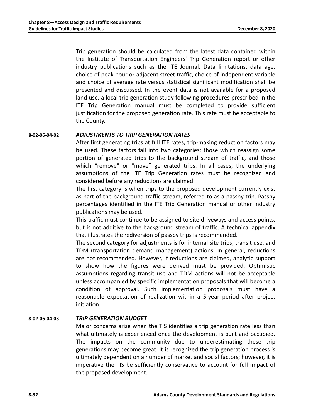Trip generation should be calculated from the latest data contained within the Institute of Transportation Engineers' Trip Generation report or other industry publications such as the ITE Journal. Data limitations, data age, choice of peak hour or adjacent street traffic, choice of independent variable and choice of average rate versus statistical significant modification shall be presented and discussed. In the event data is not available for a proposed land use, a local trip generation study following procedures prescribed in the ITE Trip Generation manual must be completed to provide sufficient justification for the proposed generation rate. This rate must be acceptable to the County.

#### **8-02-06-04-02** *ADJUSTMENTS TO TRIP GENERATION RATES*

After first generating trips at full ITE rates, trip-making reduction factors may be used. These factors fall into two categories: those which reassign some portion of generated trips to the background stream of traffic, and those which "remove" or "move" generated trips. In all cases, the underlying assumptions of the ITE Trip Generation rates must be recognized and considered before any reductions are claimed.

The first category is when trips to the proposed development currently exist as part of the background traffic stream, referred to as a passby trip. Passby percentages identified in the ITE Trip Generation manual or other industry publications may be used.

This traffic must continue to be assigned to site driveways and access points, but is not additive to the background stream of traffic. A technical appendix that illustrates the rediversion of passby trips is recommended.

The second category for adjustments is for internal site trips, transit use, and TDM (transportation demand management) actions. In general, reductions are not recommended. However, if reductions are claimed, analytic support to show how the figures were derived must be provided. Optimistic assumptions regarding transit use and TDM actions will not be acceptable unless accompanied by specific implementation proposals that will become a condition of approval. Such implementation proposals must have a reasonable expectation of realization within a 5-year period after project initiation.

#### **8-02-06-04-03** *TRIP GENERATION BUDGET*

Major concerns arise when the TIS identifies a trip generation rate less than what ultimately is experienced once the development is built and occupied. The impacts on the community due to underestimating these trip generations may become great. It is recognized the trip generation process is ultimately dependent on a number of market and social factors; however, it is imperative the TIS be sufficiently conservative to account for full impact of the proposed development.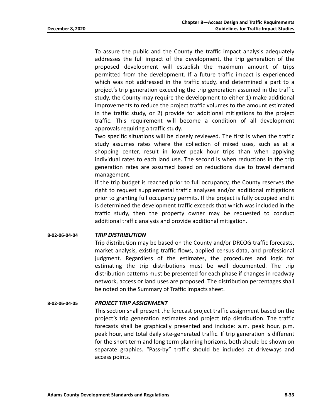To assure the public and the County the traffic impact analysis adequately addresses the full impact of the development, the trip generation of the proposed development will establish the maximum amount of trips permitted from the development. If a future traffic impact is experienced which was not addressed in the traffic study, and determined a part to a project's trip generation exceeding the trip generation assumed in the traffic study, the County may require the development to either 1) make additional improvements to reduce the project traffic volumes to the amount estimated in the traffic study, or 2) provide for additional mitigations to the project traffic. This requirement will become a condition of all development approvals requiring a traffic study.

Two specific situations will be closely reviewed. The first is when the traffic study assumes rates where the collection of mixed uses, such as at a shopping center, result in lower peak hour trips than when applying individual rates to each land use. The second is when reductions in the trip generation rates are assumed based on reductions due to travel demand management.

If the trip budget is reached prior to full occupancy, the County reserves the right to request supplemental traffic analyses and/or additional mitigations prior to granting full occupancy permits. If the project is fully occupied and it is determined the development traffic exceeds that which was included in the traffic study, then the property owner may be requested to conduct additional traffic analysis and provide additional mitigation.

#### **8-02-06-04-04** *TRIP DISTRIBUTION*

Trip distribution may be based on the County and/or DRCOG traffic forecasts, market analysis, existing traffic flows, applied census data, and professional judgment. Regardless of the estimates, the procedures and logic for estimating the trip distributions must be well documented. The trip distribution patterns must be presented for each phase if changes in roadway network, access or land uses are proposed. The distribution percentages shall be noted on the Summary of Traffic Impacts sheet.

#### **8-02-06-04-05** *PROJECT TRIP ASSIGNMENT*

This section shall present the forecast project traffic assignment based on the project's trip generation estimates and project trip distribution. The traffic forecasts shall be graphically presented and include: a.m. peak hour, p.m. peak hour, and total daily site-generated traffic. If trip generation is different for the short term and long term planning horizons, both should be shown on separate graphics. "Pass-by" traffic should be included at driveways and access points.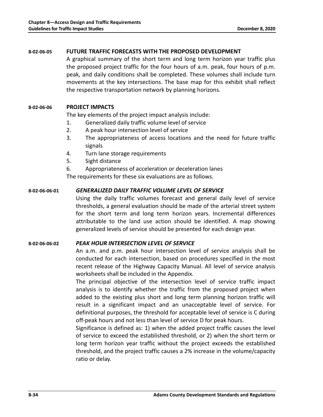#### **8-02-06-05 FUTURE TRAFFIC FORECASTS WITH THE PROPOSED DEVELOPMENT**

A graphical summary of the short term and long term horizon year traffic plus the proposed project traffic for the four hours of a.m. peak, four hours of p.m. peak, and daily conditions shall be completed. These volumes shall include turn movements at the key intersections. The base map for this exhibit shall reflect the respective transportation network by planning horizons.

#### **8-02-06-06 PROJECT IMPACTS**

The key elements of the project impact analysis include:

- 1. Generalized daily traffic volume level of service
- 2. A peak hour intersection level of service
- 3. The appropriateness of access locations and the need for future traffic signals
- 4. Turn lane storage requirements
- 5. Sight distance
- 6. Appropriateness of acceleration or deceleration lanes

The requirements for these six evaluations are as follows.

#### **8-02-06-06-01** *GENERALIZED DAILY TRAFFIC VOLUME LEVEL OF SERVICE*

Using the daily traffic volumes forecast and general daily level of service thresholds, a general evaluation should be made of the arterial street system for the short term and long term horizon years. Incremental differences attributable to the land use action should be identified. A map showing generalized levels of service should be presented for each design year.

#### **8-02-06-06-02** *PEAK HOUR INTERSECTION LEVEL OF SERVICE*

An a.m. and p.m. peak hour intersection level of service analysis shall be conducted for each intersection, based on procedures specified in the most recent release of the Highway Capacity Manual. All level of service analysis worksheets shall be included in the Appendix.

The principal objective of the intersection level of service traffic impact analysis is to identify whether the traffic from the proposed project when added to the existing plus short and long term planning horizon traffic will result in a significant impact and an unacceptable level of service. For definitional purposes, the threshold for acceptable level of service is C during off-peak hours and not less than level of service D for peak hours.

Significance is defined as: 1) when the added project traffic causes the level of service to exceed the established threshold, or 2) when the short term or long term horizon year traffic without the project exceeds the established threshold, and the project traffic causes a 2% increase in the volume/capacity ratio or delay.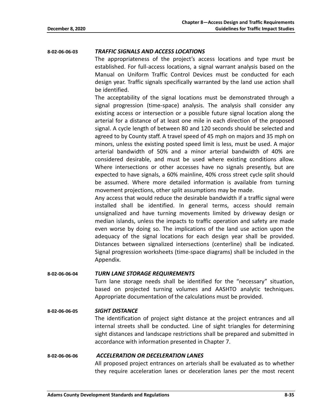#### **8-02-06-06-03** *TRAFFIC SIGNALS AND ACCESS LOCATIONS*

The appropriateness of the project's access locations and type must be established. For full-access locations, a signal warrant analysis based on the Manual on Uniform Traffic Control Devices must be conducted for each design year. Traffic signals specifically warranted by the land use action shall be identified.

The acceptability of the signal locations must be demonstrated through a signal progression (time-space) analysis. The analysis shall consider any existing access or intersection or a possible future signal location along the arterial for a distance of at least one mile in each direction of the proposed signal. A cycle length of between 80 and 120 seconds should be selected and agreed to by County staff. A travel speed of 45 mph on majors and 35 mph on minors, unless the existing posted speed limit is less, must be used. A major arterial bandwidth of 50% and a minor arterial bandwidth of 40% are considered desirable, and must be used where existing conditions allow. Where intersections or other accesses have no signals presently, but are expected to have signals, a 60% mainline, 40% cross street cycle split should be assumed. Where more detailed information is available from turning movement projections, other split assumptions may be made.

Any access that would reduce the desirable bandwidth if a traffic signal were installed shall be identified. In general terms, access should remain unsignalized and have turning movements limited by driveway design or median islands, unless the impacts to traffic operation and safety are made even worse by doing so. The implications of the land use action upon the adequacy of the signal locations for each design year shall be provided. Distances between signalized intersections (centerline) shall be indicated. Signal progression worksheets (time-space diagrams) shall be included in the Appendix.

#### **8-02-06-06-04** *TURN LANE STORAGE REQUIREMENTS*

Turn lane storage needs shall be identified for the "necessary" situation, based on projected turning volumes and AASHTO analytic techniques. Appropriate documentation of the calculations must be provided.

**8-02-06-06-05** *SIGHT DISTANCE* The identification of project sight distance at the project entrances and all internal streets shall be conducted. Line of sight triangles for determining sight distances and landscape restrictions shall be prepared and submitted in accordance with information presented in Chapter 7.

#### **8-02-06-06-06** *ACCELERATION OR DECELERATION LANES*

All proposed project entrances on arterials shall be evaluated as to whether they require acceleration lanes or deceleration lanes per the most recent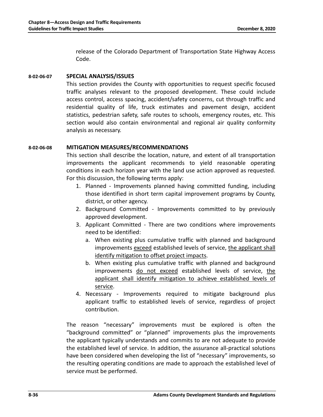release of the Colorado Department of Transportation State Highway Access Code.

#### **8-02-06-07 SPECIAL ANALYSIS/ISSUES**

This section provides the County with opportunities to request specific focused traffic analyses relevant to the proposed development. These could include access control, access spacing, accident/safety concerns, cut through traffic and residential quality of life, truck estimates and pavement design, accident statistics, pedestrian safety, safe routes to schools, emergency routes, etc. This section would also contain environmental and regional air quality conformity analysis as necessary.

#### **8-02-06-08 MITIGATION MEASURES/RECOMMENDATIONS**

This section shall describe the location, nature, and extent of all transportation improvements the applicant recommends to yield reasonable operating conditions in each horizon year with the land use action approved as requested. For this discussion, the following terms apply:

- 1. Planned Improvements planned having committed funding, including those identified in short term capital improvement programs by County, district, or other agency.
- 2. Background Committed Improvements committed to by previously approved development.
- 3. Applicant Committed There are two conditions where improvements need to be identified:
	- a. When existing plus cumulative traffic with planned and background improvements exceed established levels of service, the applicant shall identify mitigation to offset project impacts.
	- b. When existing plus cumulative traffic with planned and background improvements do not exceed established levels of service, the applicant shall identify mitigation to achieve established levels of service.
- 4. Necessary Improvements required to mitigate background plus applicant traffic to established levels of service, regardless of project contribution.

The reason "necessary" improvements must be explored is often the "background committed" or "planned" improvements plus the improvements the applicant typically understands and commits to are not adequate to provide the established level of service. In addition, the assurance all-practical solutions have been considered when developing the list of "necessary" improvements, so the resulting operating conditions are made to approach the established level of service must be performed.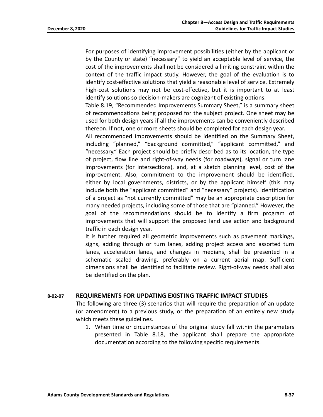For purposes of identifying improvement possibilities (either by the applicant or by the County or state) "necessary" to yield an acceptable level of service, the cost of the improvements shall not be considered a limiting constraint within the context of the traffic impact study. However, the goal of the evaluation is to identify cost-effective solutions that yield a reasonable level of service. Extremely high-cost solutions may not be cost-effective, but it is important to at least identify solutions so decision-makers are cognizant of existing options.

Table 8.19, "Recommended Improvements Summary Sheet," is a summary sheet of recommendations being proposed for the subject project. One sheet may be used for both design years if all the improvements can be conveniently described thereon. If not, one or more sheets should be completed for each design year.

All recommended improvements should be identified on the Summary Sheet, including "planned," "background committed," "applicant committed," and "necessary." Each project should be briefly described as to its location, the type of project, flow line and right-of-way needs (for roadways), signal or turn lane improvements (for intersections), and, at a sketch planning level, cost of the improvement. Also, commitment to the improvement should be identified, either by local governments, districts, or by the applicant himself (this may include both the "applicant committed" and "necessary" projects). Identification of a project as "not currently committed" may be an appropriate description for many needed projects, including some of those that are "planned." However, the goal of the recommendations should be to identify a firm program of improvements that will support the proposed land use action and background traffic in each design year.

It is further required all geometric improvements such as pavement markings, signs, adding through or turn lanes, adding project access and assorted turn lanes, acceleration lanes, and changes in medians, shall be presented in a schematic scaled drawing, preferably on a current aerial map. Sufficient dimensions shall be identified to facilitate review. Right-of-way needs shall also be identified on the plan.

#### **8-02-07 REQUIREMENTS FOR UPDATING EXISTING TRAFFIC IMPACT STUDIES**

The following are three (3) scenarios that will require the preparation of an update (or amendment) to a previous study, or the preparation of an entirely new study which meets these guidelines.

1. When time or circumstances of the original study fall within the parameters presented in Table 8.18, the applicant shall prepare the appropriate documentation according to the following specific requirements.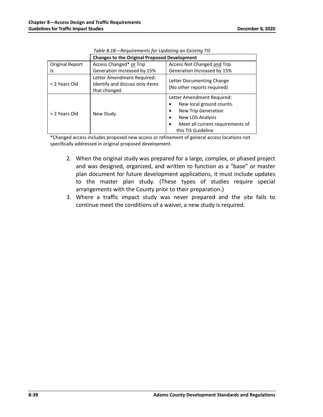|                 | <b>Changes to the Original Proposed Development</b>                            |                                                                                                                                                                                         |  |  |  |
|-----------------|--------------------------------------------------------------------------------|-----------------------------------------------------------------------------------------------------------------------------------------------------------------------------------------|--|--|--|
| Original Report | Access Changed* or Trip                                                        | Access Not Changed and Trip                                                                                                                                                             |  |  |  |
| Is              | Generation Increased by 15%                                                    | Generation Increased by 15%                                                                                                                                                             |  |  |  |
| < 2 Years Old   | Letter Amendment Required:<br>Identify and discuss only items<br>that changed. | Letter Documenting Change<br>(No other reports required)                                                                                                                                |  |  |  |
| > 2 Years Old   | New Study                                                                      | Letter Amendment Required:<br>New local ground counts.<br>٠<br>New Trip Generation<br>٠<br>New LOS Analysis<br>٠<br>Meet all current requirements of<br>$\bullet$<br>this TIS Guideline |  |  |  |

\*Changed access includes proposed new access or refinement of general access locations not specifically addressed in original proposed development.

- 2. When the original study was prepared for a large, complex, or phased project and was designed, organized, and written to function as a "base" or master plan document for future development applications, it must include updates to the master plan study. (These types of studies require special arrangements with the County prior to their preparation.)
- 3. Where a traffic impact study was never prepared and the site fails to continue meet the conditions of a waiver, a new study is required.